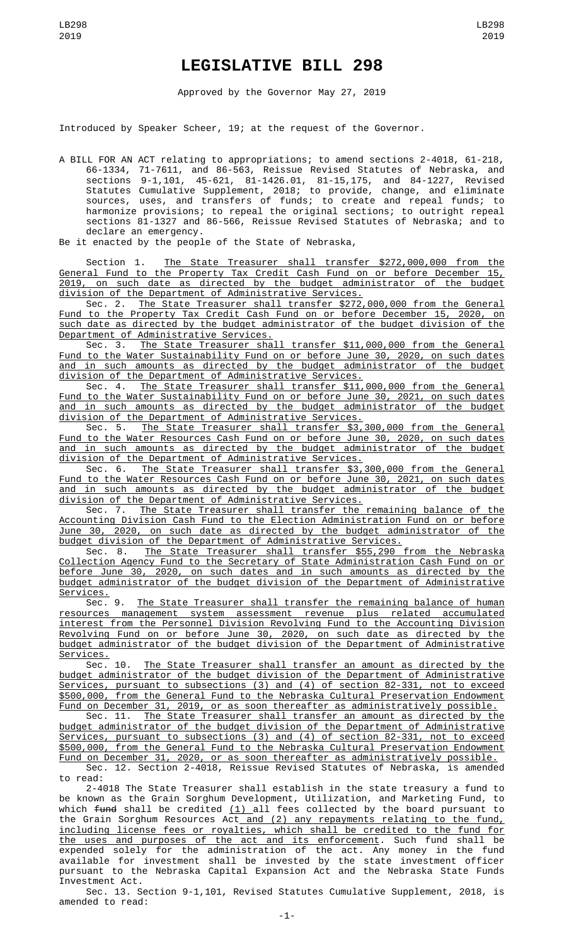## **LEGISLATIVE BILL 298**

Approved by the Governor May 27, 2019

Introduced by Speaker Scheer, 19; at the request of the Governor.

A BILL FOR AN ACT relating to appropriations; to amend sections 2-4018, 61-218, 66-1334, 71-7611, and 86-563, Reissue Revised Statutes of Nebraska, and sections 9-1,101, 45-621, 81-1426.01, 81-15,175, and 84-1227, Revised Statutes Cumulative Supplement, 2018; to provide, change, and eliminate sources, uses, and transfers of funds; to create and repeal funds; to harmonize provisions; to repeal the original sections; to outright repeal sections 81-1327 and 86-566, Reissue Revised Statutes of Nebraska; and to declare an emergency.

Be it enacted by the people of the State of Nebraska,

Section 1. The State Treasurer shall transfer \$272,000,000 from the General Fund to the Property Tax Credit Cash Fund on or before December 15, 2019, on such date as directed by the budget administrator of the budget division of the Department of Administrative Services.

Sec. 2. The State Treasurer shall transfer \$272,000,000 from the General Fund to the Property Tax Credit Cash Fund on or before December 15, 2020, on such date as directed by the budget administrator of the budget division of the Department of Administrative Services.

Sec. 3. The State Treasurer shall transfer \$11,000,000 from the General Fund to the Water Sustainability Fund on or before June 30, 2020, on such dates and in such amounts as directed by the budget administrator of the budget division of the Department of Administrative Services.

Sec. 4. The State Treasurer shall transfer \$11,000,000 from the General Fund to the Water Sustainability Fund on or before June 30, 2021, on such dates and in such amounts as directed by the budget administrator of the budget division of the Department of Administrative Services.

Sec. 5. The State Treasurer shall transfer \$3,300,000 from the General Fund to the Water Resources Cash Fund on or before June 30, 2020, on such dates and in such amounts as directed by the budget administrator of the budget division of the Department of Administrative Services.

Sec. 6. The State Treasurer shall transfer \$3,300,000 from the General Fund to the Water Resources Cash Fund on or before June 30, 2021, on such dates and in such amounts as directed by the budget administrator of the budget division of the Department of Administrative Services.

Sec. 7. <u>The State Treasurer shall transfer the remaining balance of the</u> Accounting Division Cash Fund to the Election Administration Fund on or before June 30, 2020, on such date as directed by the budget administrator of the budget division of the Department of Administrative Services.

Sec. 8. The State Treasurer shall transfer \$55,290 from the Nebraska Collection Agency Fund to the Secretary of State Administration Cash Fund on or before June 30, 2020, on such dates and in such amounts as directed by the budget administrator of the budget division of the Department of Administrative Services.

Sec. 9. The State Treasurer shall transfer the remaining balance of human resources management system assessment revenue plus related accumulated interest from the Personnel Division Revolving Fund to the Accounting Division Revolving Fund on or before June 30, 2020, on such date as directed by the budget administrator of the budget division of the Department of Administrative <u>Services.</u><br>Sec. 10.

The State Treasurer shall transfer an amount as directed by the budget administrator of the budget division of the Department of Administrative Services, pursuant to subsections (3) and (4) of section 82-331, not to exceed \$500,000, from the General Fund to the Nebraska Cultural Preservation Endowment Fund on December 31, 2019, or as soon thereafter as administratively possible.

Sec. 11. The State Treasurer shall transfer an amount as directed by the budget administrator of the budget division of the Department of Administrative Services, pursuant to subsections (3) and (4) of section 82-331, not to exceed \$500,000, from the General Fund to the Nebraska Cultural Preservation Endowment Fund on December 31, 2020, or as soon thereafter as administratively possible.

Sec. 12. Section 2-4018, Reissue Revised Statutes of Nebraska, is amended to read:

2-4018 The State Treasurer shall establish in the state treasury a fund to be known as the Grain Sorghum Development, Utilization, and Marketing Fund, to which <del>fund</del> shall be credited <u>(1) </u>all fees collected by the board pursuant to the Grain Sorghum Resources Act<u> and (2) any repayments relating to the fund,</u> including license fees or royalties, which shall be credited to the fund for the uses and purposes of the act and its enforcement. Such fund shall be expended solely for the administration of the act. Any money in the fund available for investment shall be invested by the state investment officer pursuant to the Nebraska Capital Expansion Act and the Nebraska State Funds Investment Act.

Sec. 13. Section 9-1,101, Revised Statutes Cumulative Supplement, 2018, is amended to read: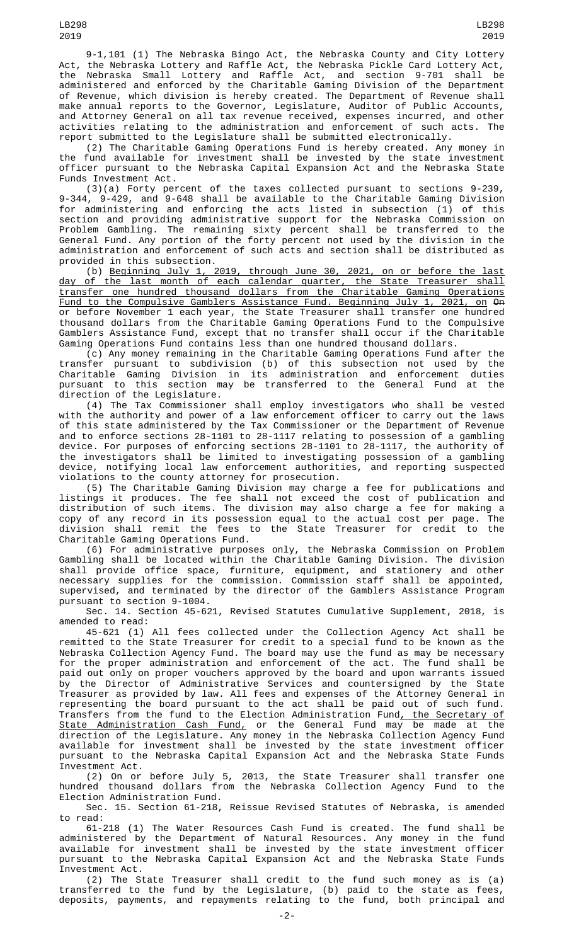9-1,101 (1) The Nebraska Bingo Act, the Nebraska County and City Lottery Act, the Nebraska Lottery and Raffle Act, the Nebraska Pickle Card Lottery Act, the Nebraska Small Lottery and Raffle Act, and section 9-701 shall be administered and enforced by the Charitable Gaming Division of the Department of Revenue, which division is hereby created. The Department of Revenue shall make annual reports to the Governor, Legislature, Auditor of Public Accounts, and Attorney General on all tax revenue received, expenses incurred, and other activities relating to the administration and enforcement of such acts. The report submitted to the Legislature shall be submitted electronically.

(2) The Charitable Gaming Operations Fund is hereby created. Any money in the fund available for investment shall be invested by the state investment officer pursuant to the Nebraska Capital Expansion Act and the Nebraska State Funds Investment Act.

(3)(a) Forty percent of the taxes collected pursuant to sections 9-239, 9-344, 9-429, and 9-648 shall be available to the Charitable Gaming Division for administering and enforcing the acts listed in subsection (1) of this section and providing administrative support for the Nebraska Commission on Problem Gambling. The remaining sixty percent shall be transferred to the General Fund. Any portion of the forty percent not used by the division in the administration and enforcement of such acts and section shall be distributed as provided in this subsection.

(b) Beginning July 1, 2019, through June 30, 2021, on or before the last day of the last month of each calendar quarter, the State Treasurer shall transfer one hundred thousand dollars from the Charitable Gaming Operations Fund to the Compulsive Gamblers Assistance Fund. Beginning July 1, 2021, on On or before November 1 each year, the State Treasurer shall transfer one hundred thousand dollars from the Charitable Gaming Operations Fund to the Compulsive Gamblers Assistance Fund, except that no transfer shall occur if the Charitable Gaming Operations Fund contains less than one hundred thousand dollars.

(c) Any money remaining in the Charitable Gaming Operations Fund after the transfer pursuant to subdivision (b) of this subsection not used by the Charitable Gaming Division in its administration and enforcement duties pursuant to this section may be transferred to the General Fund at the direction of the Legislature.

(4) The Tax Commissioner shall employ investigators who shall be vested with the authority and power of a law enforcement officer to carry out the laws of this state administered by the Tax Commissioner or the Department of Revenue and to enforce sections 28-1101 to 28-1117 relating to possession of a gambling device. For purposes of enforcing sections 28-1101 to 28-1117, the authority of the investigators shall be limited to investigating possession of a gambling device, notifying local law enforcement authorities, and reporting suspected violations to the county attorney for prosecution.

(5) The Charitable Gaming Division may charge a fee for publications and listings it produces. The fee shall not exceed the cost of publication and distribution of such items. The division may also charge a fee for making a copy of any record in its possession equal to the actual cost per page. The division shall remit the fees to the State Treasurer for credit to the Charitable Gaming Operations Fund.

(6) For administrative purposes only, the Nebraska Commission on Problem Gambling shall be located within the Charitable Gaming Division. The division shall provide office space, furniture, equipment, and stationery and other necessary supplies for the commission. Commission staff shall be appointed, supervised, and terminated by the director of the Gamblers Assistance Program pursuant to section 9-1004.

Sec. 14. Section 45-621, Revised Statutes Cumulative Supplement, 2018, is amended to read:

45-621 (1) All fees collected under the Collection Agency Act shall be remitted to the State Treasurer for credit to a special fund to be known as the Nebraska Collection Agency Fund. The board may use the fund as may be necessary for the proper administration and enforcement of the act. The fund shall be paid out only on proper vouchers approved by the board and upon warrants issued by the Director of Administrative Services and countersigned by the State Treasurer as provided by law. All fees and expenses of the Attorney General in representing the board pursuant to the act shall be paid out of such fund. Transfers from the fund to the Election Administration Fund<u>, the Secretary of</u> State Administration Cash Fund, or the General Fund may be made at the direction of the Legislature. Any money in the Nebraska Collection Agency Fund available for investment shall be invested by the state investment officer pursuant to the Nebraska Capital Expansion Act and the Nebraska State Funds Investment Act.

(2) On or before July 5, 2013, the State Treasurer shall transfer one hundred thousand dollars from the Nebraska Collection Agency Fund to the Election Administration Fund.

Sec. 15. Section 61-218, Reissue Revised Statutes of Nebraska, is amended to read:

61-218 (1) The Water Resources Cash Fund is created. The fund shall be administered by the Department of Natural Resources. Any money in the fund available for investment shall be invested by the state investment officer pursuant to the Nebraska Capital Expansion Act and the Nebraska State Funds Investment Act.

(2) The State Treasurer shall credit to the fund such money as is (a) transferred to the fund by the Legislature, (b) paid to the state as fees, deposits, payments, and repayments relating to the fund, both principal and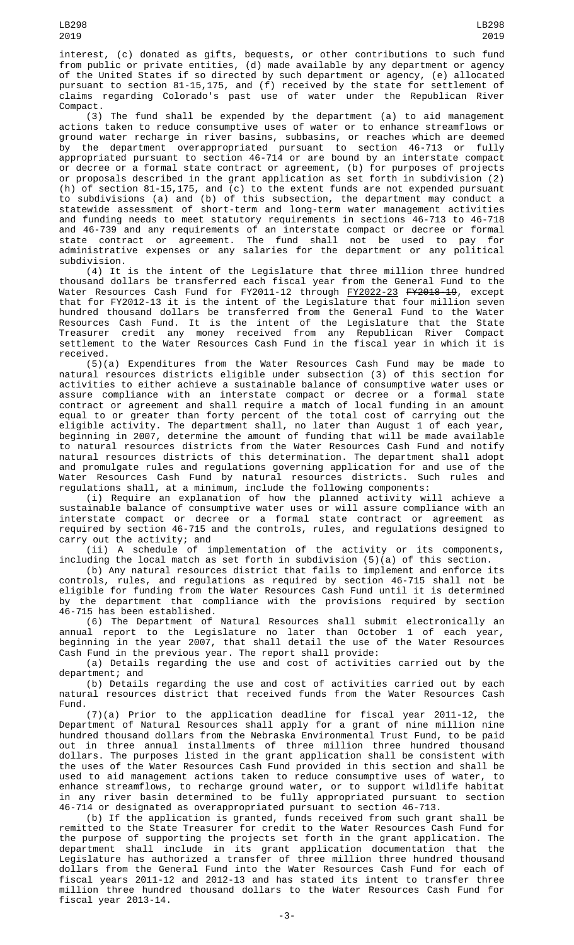interest, (c) donated as gifts, bequests, or other contributions to such fund from public or private entities, (d) made available by any department or agency of the United States if so directed by such department or agency, (e) allocated

claims regarding Colorado's past use of water under the Republican River Compact. (3) The fund shall be expended by the department (a) to aid management actions taken to reduce consumptive uses of water or to enhance streamflows or ground water recharge in river basins, subbasins, or reaches which are deemed by the department overappropriated pursuant to section 46-713 or fully appropriated pursuant to section 46-714 or are bound by an interstate compact or decree or a formal state contract or agreement, (b) for purposes of projects or proposals described in the grant application as set forth in subdivision (2) (h) of section 81-15,175, and (c) to the extent funds are not expended pursuant to subdivisions (a) and (b) of this subsection, the department may conduct a statewide assessment of short-term and long-term water management activities and funding needs to meet statutory requirements in sections 46-713 to 46-718 and 46-739 and any requirements of an interstate compact or decree or formal state contract or agreement. The fund shall not be used to pay for administrative expenses or any salaries for the department or any political subdivision.

pursuant to section 81-15,175, and (f) received by the state for settlement of

(4) It is the intent of the Legislature that three million three hundred thousand dollars be transferred each fiscal year from the General Fund to the Water Resources Cash Fund for FY2011-12 through <u>FY2022-23</u> <del>FY2018-19</del>, except that for FY2012-13 it is the intent of the Legislature that four million seven hundred thousand dollars be transferred from the General Fund to the Water Resources Cash Fund. It is the intent of the Legislature that the State Treasurer credit any money received from any Republican River Compact settlement to the Water Resources Cash Fund in the fiscal year in which it is received.

(5)(a) Expenditures from the Water Resources Cash Fund may be made to natural resources districts eligible under subsection (3) of this section for activities to either achieve a sustainable balance of consumptive water uses or assure compliance with an interstate compact or decree or a formal state contract or agreement and shall require a match of local funding in an amount equal to or greater than forty percent of the total cost of carrying out the eligible activity. The department shall, no later than August 1 of each year, beginning in 2007, determine the amount of funding that will be made available to natural resources districts from the Water Resources Cash Fund and notify natural resources districts of this determination. The department shall adopt and promulgate rules and regulations governing application for and use of the Water Resources Cash Fund by natural resources districts. Such rules and regulations shall, at a minimum, include the following components:

(i) Require an explanation of how the planned activity will achieve a sustainable balance of consumptive water uses or will assure compliance with an interstate compact or decree or a formal state contract or agreement as required by section 46-715 and the controls, rules, and regulations designed to carry out the activity; and

(ii) A schedule of implementation of the activity or its components, including the local match as set forth in subdivision (5)(a) of this section.

(b) Any natural resources district that fails to implement and enforce its controls, rules, and regulations as required by section 46-715 shall not be eligible for funding from the Water Resources Cash Fund until it is determined by the department that compliance with the provisions required by section<br>46-715 has been established. 46-715 has been established.

(6) The Department of Natural Resources shall submit electronically an annual report to the Legislature no later than October 1 of each year, beginning in the year 2007, that shall detail the use of the Water Resources Cash Fund in the previous year. The report shall provide:

(a) Details regarding the use and cost of activities carried out by the department; and

(b) Details regarding the use and cost of activities carried out by each natural resources district that received funds from the Water Resources Cash Fund.

(7)(a) Prior to the application deadline for fiscal year 2011-12, the Department of Natural Resources shall apply for a grant of nine million nine hundred thousand dollars from the Nebraska Environmental Trust Fund, to be paid out in three annual installments of three million three hundred thousand dollars. The purposes listed in the grant application shall be consistent with the uses of the Water Resources Cash Fund provided in this section and shall be used to aid management actions taken to reduce consumptive uses of water, to enhance streamflows, to recharge ground water, or to support wildlife habitat in any river basin determined to be fully appropriated pursuant to section 46-714 or designated as overappropriated pursuant to section 46-713.

(b) If the application is granted, funds received from such grant shall be remitted to the State Treasurer for credit to the Water Resources Cash Fund for the purpose of supporting the projects set forth in the grant application. The department shall include in its grant application documentation that the Legislature has authorized a transfer of three million three hundred thousand dollars from the General Fund into the Water Resources Cash Fund for each of fiscal years 2011-12 and 2012-13 and has stated its intent to transfer three million three hundred thousand dollars to the Water Resources Cash Fund for fiscal year 2013-14.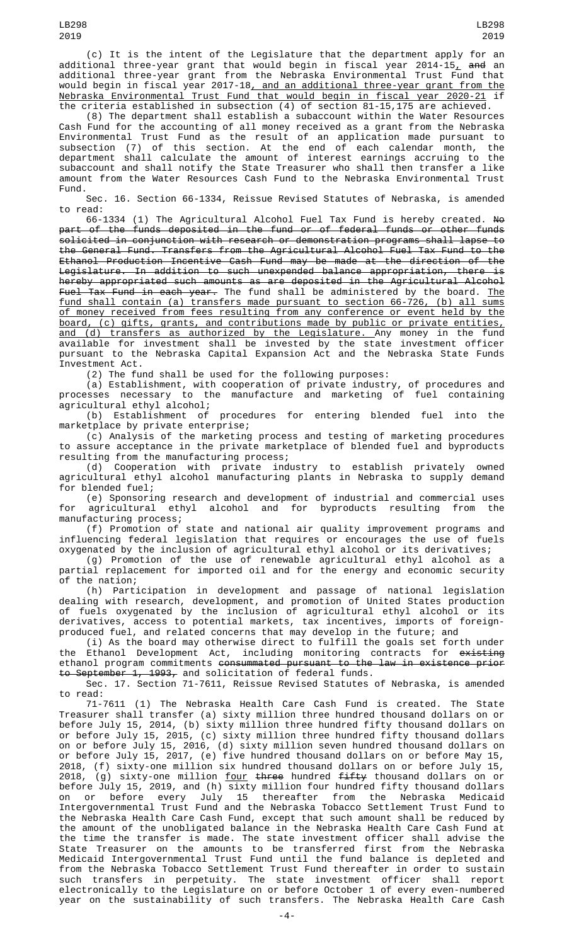(c) It is the intent of the Legislature that the department apply for an additional three-year grant that would begin in fiscal year 2014-15<u>,</u> <del>and</del> an additional three-year grant from the Nebraska Environmental Trust Fund that would begin in fiscal year 2017-18, and an additional three-year grant from the Nebraska Environmental Trust Fund that would begin in fiscal year 2020-21 if the criteria established in subsection (4) of section 81-15,175 are achieved.

(8) The department shall establish a subaccount within the Water Resources Cash Fund for the accounting of all money received as a grant from the Nebraska Environmental Trust Fund as the result of an application made pursuant to subsection (7) of this section. At the end of each calendar month, the department shall calculate the amount of interest earnings accruing to the subaccount and shall notify the State Treasurer who shall then transfer a like amount from the Water Resources Cash Fund to the Nebraska Environmental Trust Fund.

Sec. 16. Section 66-1334, Reissue Revised Statutes of Nebraska, is amended to read:

66-1334 (1) The Agricultural Alcohol Fuel Tax Fund is hereby created. No part of the funds deposited in the fund or of federal funds or other funds solicited in conjunction with research or demonstration programs shall lapse to the General Fund. Transfers from the Agricultural Alcohol Fuel Tax Fund to the Ethanol Production Incentive Cash Fund may be made at the direction of the Legislature. In addition to such unexpended balance appropriation, there is hereby appropriated such amounts as are deposited in the Agricultural Alcohol F<del>uel Tax Fund in each year.</del> The fund shall be administered by the board. <u>The</u> fund shall contain (a) transfers made pursuant to section 66-726, (b) all sums of money received from fees resulting from any conference or event held by the board, (c) gifts, grants, and contributions made by public or private entities, and (d) transfers as authorized by the Legislature. Any money in the fund available for investment shall be invested by the state investment officer pursuant to the Nebraska Capital Expansion Act and the Nebraska State Funds Investment Act.

(2) The fund shall be used for the following purposes:

(a) Establishment, with cooperation of private industry, of procedures and processes necessary to the manufacture and marketing of fuel containing agricultural ethyl alcohol;<br>(b) Establishment of

procedures for entering blended fuel into the marketplace by private enterprise;

(c) Analysis of the marketing process and testing of marketing procedures to assure acceptance in the private marketplace of blended fuel and byproducts resulting from the manufacturing process;

(d) Cooperation with private industry to establish privately owned agricultural ethyl alcohol manufacturing plants in Nebraska to supply demand for blended fuel;

(e) Sponsoring research and development of industrial and commercial uses for agricultural ethyl alcohol and for byproducts resulting from the manufacturing process;

(f) Promotion of state and national air quality improvement programs and influencing federal legislation that requires or encourages the use of fuels oxygenated by the inclusion of agricultural ethyl alcohol or its derivatives;

(g) Promotion of the use of renewable agricultural ethyl alcohol as a partial replacement for imported oil and for the energy and economic security of the nation;

(h) Participation in development and passage of national legislation dealing with research, development, and promotion of United States production of fuels oxygenated by the inclusion of agricultural ethyl alcohol or its derivatives, access to potential markets, tax incentives, imports of foreignproduced fuel, and related concerns that may develop in the future; and

(i) As the board may otherwise direct to fulfill the goals set forth under the Ethanol Development Act, including monitoring contracts for <del>existing</del> ethanol program commitments <del>consummated pursuant to the law in existence prior</del> to September 1, 1993, and solicitation of federal funds.

Sec. 17. Section 71-7611, Reissue Revised Statutes of Nebraska, is amended to read:

71-7611 (1) The Nebraska Health Care Cash Fund is created. The State Treasurer shall transfer (a) sixty million three hundred thousand dollars on or before July 15, 2014, (b) sixty million three hundred fifty thousand dollars on or before July 15, 2015, (c) sixty million three hundred fifty thousand dollars on or before July 15, 2016, (d) sixty million seven hundred thousand dollars on or before July 15, 2017, (e) five hundred thousand dollars on or before May 15, 2018, (f) sixty-one million six hundred thousand dollars on or before July 15, 2018, (g) sixty-one million <u>four</u> <del>three</del> hundred <del>fifty</del> thousand dollars on or before July 15, 2019, and (h) sixty million four hundred fifty thousand dollars on or before every July 15 thereafter from the Nebraska Medicaid Intergovernmental Trust Fund and the Nebraska Tobacco Settlement Trust Fund to the Nebraska Health Care Cash Fund, except that such amount shall be reduced by the amount of the unobligated balance in the Nebraska Health Care Cash Fund at the time the transfer is made. The state investment officer shall advise the State Treasurer on the amounts to be transferred first from the Nebraska Medicaid Intergovernmental Trust Fund until the fund balance is depleted and from the Nebraska Tobacco Settlement Trust Fund thereafter in order to sustain such transfers in perpetuity. The state investment officer shall report electronically to the Legislature on or before October 1 of every even-numbered year on the sustainability of such transfers. The Nebraska Health Care Cash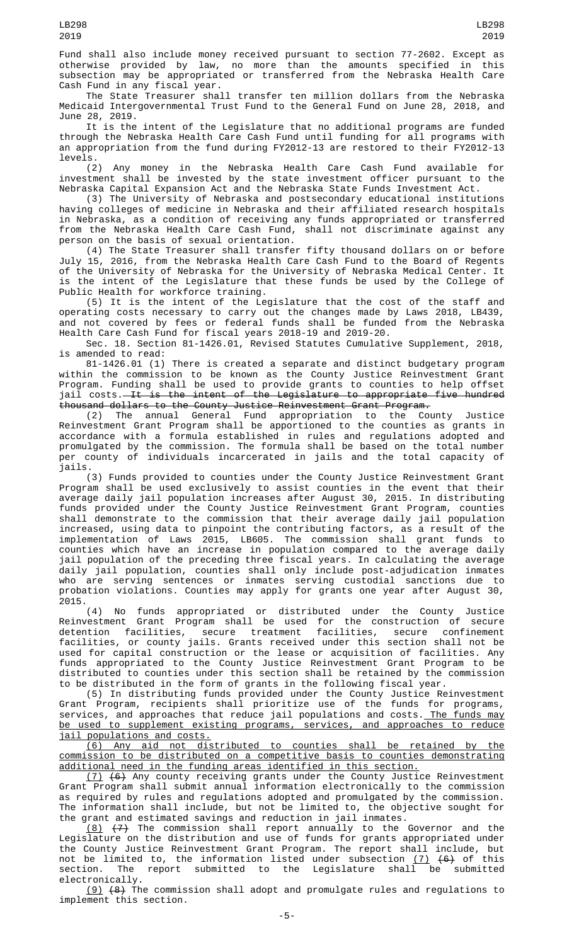Fund shall also include money received pursuant to section 77-2602. Except as otherwise provided by law, no more than the amounts specified in this subsection may be appropriated or transferred from the Nebraska Health Care Cash Fund in any fiscal year.

The State Treasurer shall transfer ten million dollars from the Nebraska Medicaid Intergovernmental Trust Fund to the General Fund on June 28, 2018, and June 28, 2019.

It is the intent of the Legislature that no additional programs are funded through the Nebraska Health Care Cash Fund until funding for all programs with an appropriation from the fund during FY2012-13 are restored to their FY2012-13 levels.

(2) Any money in the Nebraska Health Care Cash Fund available for investment shall be invested by the state investment officer pursuant to the Nebraska Capital Expansion Act and the Nebraska State Funds Investment Act.

(3) The University of Nebraska and postsecondary educational institutions having colleges of medicine in Nebraska and their affiliated research hospitals in Nebraska, as a condition of receiving any funds appropriated or transferred from the Nebraska Health Care Cash Fund, shall not discriminate against any person on the basis of sexual orientation.

(4) The State Treasurer shall transfer fifty thousand dollars on or before July 15, 2016, from the Nebraska Health Care Cash Fund to the Board of Regents of the University of Nebraska for the University of Nebraska Medical Center. It is the intent of the Legislature that these funds be used by the College of Public Health for workforce training.

(5) It is the intent of the Legislature that the cost of the staff and operating costs necessary to carry out the changes made by Laws 2018, LB439, and not covered by fees or federal funds shall be funded from the Nebraska Health Care Cash Fund for fiscal years 2018-19 and 2019-20.

Sec. 18. Section 81-1426.01, Revised Statutes Cumulative Supplement, 2018, is amended to read:

81-1426.01 (1) There is created a separate and distinct budgetary program within the commission to be known as the County Justice Reinvestment Grant Program. Funding shall be used to provide grants to counties to help offset jail costs.—It is the intent of the Legislature to appropriate five hundred thousand dollars to the County Justice Reinvestment Grant Program.

(2) The annual General Fund appropriation to the County Justice Reinvestment Grant Program shall be apportioned to the counties as grants in accordance with a formula established in rules and regulations adopted and promulgated by the commission. The formula shall be based on the total number per county of individuals incarcerated in jails and the total capacity of jails.

(3) Funds provided to counties under the County Justice Reinvestment Grant Program shall be used exclusively to assist counties in the event that their average daily jail population increases after August 30, 2015. In distributing funds provided under the County Justice Reinvestment Grant Program, counties shall demonstrate to the commission that their average daily jail population increased, using data to pinpoint the contributing factors, as a result of the implementation of Laws 2015, LB605. The commission shall grant funds to counties which have an increase in population compared to the average daily jail population of the preceding three fiscal years. In calculating the average daily jail population, counties shall only include post-adjudication inmates who are serving sentences or inmates serving custodial sanctions due to probation violations. Counties may apply for grants one year after August 30, 2015.

(4) No funds appropriated or distributed under the County Justice Reinvestment Grant Program shall be used for the construction of secure detention facilities, secure treatment facilities, secure confinement facilities, or county jails. Grants received under this section shall not be used for capital construction or the lease or acquisition of facilities. Any funds appropriated to the County Justice Reinvestment Grant Program to be distributed to counties under this section shall be retained by the commission to be distributed in the form of grants in the following fiscal year.

(5) In distributing funds provided under the County Justice Reinvestment Grant Program, recipients shall prioritize use of the funds for programs, services, and approaches that reduce jail populations and costs.<u> The funds may</u> be used to supplement existing programs, services, and approaches to reduce jail populations and costs.

(6) Any aid not distributed to counties shall be retained by the commission to be distributed on a competitive basis to counties demonstrating additional need in the funding areas identified in this section.

(7) (6) Any county receiving grants under the County Justice Reinvestment Grant Program shall submit annual information electronically to the commission as required by rules and regulations adopted and promulgated by the commission. The information shall include, but not be limited to, the objective sought for the grant and estimated savings and reduction in jail inmates.

(8) (7) The commission shall report annually to the Governor and the Legislature on the distribution and use of funds for grants appropriated under the County Justice Reinvestment Grant Program. The report shall include, but not be limited to, the information listed under subsection <u>(7)</u> <del>(6)</del> of this section. The report submitted to the Legislature shall be submitted electronically.

(9) (8) The commission shall adopt and promulgate rules and regulations to implement this section.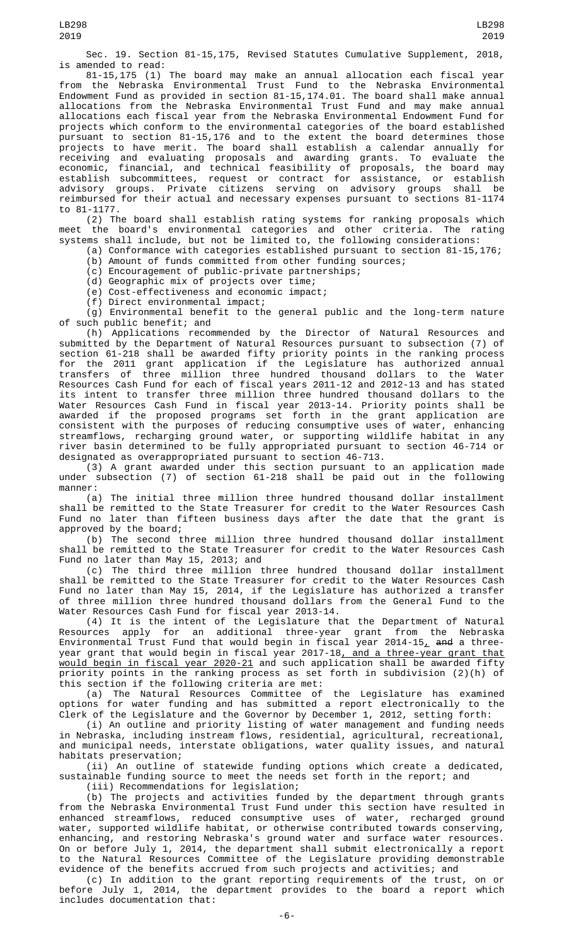Sec. 19. Section 81-15,175, Revised Statutes Cumulative Supplement, 2018, is amended to read:

81-15,175 (1) The board may make an annual allocation each fiscal year from the Nebraska Environmental Trust Fund to the Nebraska Environmental Endowment Fund as provided in section 81-15,174.01. The board shall make annual allocations from the Nebraska Environmental Trust Fund and may make annual allocations each fiscal year from the Nebraska Environmental Endowment Fund for projects which conform to the environmental categories of the board established pursuant to section 81-15,176 and to the extent the board determines those projects to have merit. The board shall establish a calendar annually for receiving and evaluating proposals and awarding grants. To evaluate the economic, financial, and technical feasibility of proposals, the board may establish subcommittees, request or contract for assistance, or establish advisory groups. Private citizens serving on advisory groups shall be reimbursed for their actual and necessary expenses pursuant to sections 81-1174 to 81-1177.

(2) The board shall establish rating systems for ranking proposals which meet the board's environmental categories and other criteria. The rating systems shall include, but not be limited to, the following considerations:

(a) Conformance with categories established pursuant to section 81-15,176;

(b) Amount of funds committed from other funding sources;

(c) Encouragement of public-private partnerships;

(d) Geographic mix of projects over time; (e) Cost-effectiveness and economic impact;

(f) Direct environmental impact;

(g) Environmental benefit to the general public and the long-term nature of such public benefit; and

(h) Applications recommended by the Director of Natural Resources and submitted by the Department of Natural Resources pursuant to subsection (7) of section 61-218 shall be awarded fifty priority points in the ranking process for the 2011 grant application if the Legislature has authorized annual transfers of three million three hundred thousand dollars to the Water Resources Cash Fund for each of fiscal years 2011-12 and 2012-13 and has stated its intent to transfer three million three hundred thousand dollars to the Water Resources Cash Fund in fiscal year 2013-14. Priority points shall be awarded if the proposed programs set forth in the grant application are consistent with the purposes of reducing consumptive uses of water, enhancing streamflows, recharging ground water, or supporting wildlife habitat in any river basin determined to be fully appropriated pursuant to section 46-714 or designated as overappropriated pursuant to section 46-713.

(3) A grant awarded under this section pursuant to an application made under subsection (7) of section 61-218 shall be paid out in the following manner:

(a) The initial three million three hundred thousand dollar installment shall be remitted to the State Treasurer for credit to the Water Resources Cash Fund no later than fifteen business days after the date that the grant is approved by the board;

(b) The second three million three hundred thousand dollar installment shall be remitted to the State Treasurer for credit to the Water Resources Cash Fund no later than May 15, 2013; and

(c) The third three million three hundred thousand dollar installment shall be remitted to the State Treasurer for credit to the Water Resources Cash Fund no later than May 15, 2014, if the Legislature has authorized a transfer of three million three hundred thousand dollars from the General Fund to the Water Resources Cash Fund for fiscal year 2013-14.

(4) It is the intent of the Legislature that the Department of Natural Resources apply for an additional three-year grant from the Nebraska Environmental Trust Fund that would begin in fiscal year 2014-15<u>,</u> <del>and</del> a threeyear grant that would begin in fiscal year 2017-18<u>, and a three-year grant that</u> would begin in fiscal year 2020-21 and such application shall be awarded fifty priority points in the ranking process as set forth in subdivision (2)(h) of this section if the following criteria are met:

(a) The Natural Resources Committee of the Legislature has examined options for water funding and has submitted a report electronically to the Clerk of the Legislature and the Governor by December 1, 2012, setting forth:

(i) An outline and priority listing of water management and funding needs in Nebraska, including instream flows, residential, agricultural, recreational, and municipal needs, interstate obligations, water quality issues, and natural habitats preservation;

(ii) An outline of statewide funding options which create a dedicated, sustainable funding source to meet the needs set forth in the report; and

(iii) Recommendations for legislation;

(b) The projects and activities funded by the department through grants from the Nebraska Environmental Trust Fund under this section have resulted in enhanced streamflows, reduced consumptive uses of water, recharged ground water, supported wildlife habitat, or otherwise contributed towards conserving, enhancing, and restoring Nebraska's ground water and surface water resources. On or before July 1, 2014, the department shall submit electronically a report to the Natural Resources Committee of the Legislature providing demonstrable evidence of the benefits accrued from such projects and activities; and

(c) In addition to the grant reporting requirements of the trust, on or before July 1, 2014, the department provides to the board a report which includes documentation that: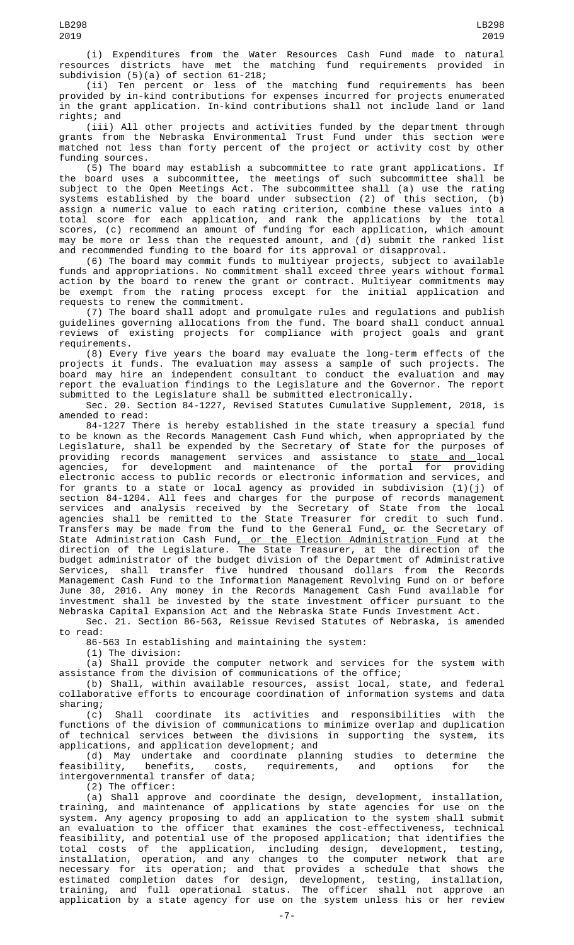(i) Expenditures from the Water Resources Cash Fund made to natural resources districts have met the matching fund requirements provided in

subdivision (5)(a) of section 61-218; (ii) Ten percent or less of the matching fund requirements has been provided by in-kind contributions for expenses incurred for projects enumerated in the grant application. In-kind contributions shall not include land or land rights; and

(iii) All other projects and activities funded by the department through grants from the Nebraska Environmental Trust Fund under this section were matched not less than forty percent of the project or activity cost by other funding sources.

(5) The board may establish a subcommittee to rate grant applications. If the board uses a subcommittee, the meetings of such subcommittee shall be subject to the Open Meetings Act. The subcommittee shall (a) use the rating systems established by the board under subsection (2) of this section, (b) assign a numeric value to each rating criterion, combine these values into a total score for each application, and rank the applications by the total scores, (c) recommend an amount of funding for each application, which amount may be more or less than the requested amount, and (d) submit the ranked list and recommended funding to the board for its approval or disapproval.

(6) The board may commit funds to multiyear projects, subject to available funds and appropriations. No commitment shall exceed three years without formal action by the board to renew the grant or contract. Multiyear commitments may be exempt from the rating process except for the initial application and requests to renew the commitment.

(7) The board shall adopt and promulgate rules and regulations and publish guidelines governing allocations from the fund. The board shall conduct annual reviews of existing projects for compliance with project goals and grant requirements.

(8) Every five years the board may evaluate the long-term effects of the projects it funds. The evaluation may assess a sample of such projects. The board may hire an independent consultant to conduct the evaluation and may report the evaluation findings to the Legislature and the Governor. The report submitted to the Legislature shall be submitted electronically.

Sec. 20. Section 84-1227, Revised Statutes Cumulative Supplement, 2018, is amended to read:

84-1227 There is hereby established in the state treasury a special fund to be known as the Records Management Cash Fund which, when appropriated by the Legislature, shall be expended by the Secretary of State for the purposes of providing records management services and assistance to <u>state and </u>local agencies, for development and maintenance of the portal for providing electronic access to public records or electronic information and services, and for grants to a state or local agency as provided in subdivision (1)(j) of section 84-1204. All fees and charges for the purpose of records management services and analysis received by the Secretary of State from the local agencies shall be remitted to the State Treasurer for credit to such fund. Transfers may be made from the fund to the General Fund<sub>L</sub>  $\rho$  the Secretary of State Administration Cash Fund<u>, or the Election Administration Fund</u> at the direction of the Legislature. The State Treasurer, at the direction of the budget administrator of the budget division of the Department of Administrative Services, shall transfer five hundred thousand dollars from the Records Management Cash Fund to the Information Management Revolving Fund on or before June 30, 2016. Any money in the Records Management Cash Fund available for investment shall be invested by the state investment officer pursuant to the Nebraska Capital Expansion Act and the Nebraska State Funds Investment Act.

Sec. 21. Section 86-563, Reissue Revised Statutes of Nebraska, is amended to read:

86-563 In establishing and maintaining the system:

(1) The division:

(a) Shall provide the computer network and services for the system with assistance from the division of communications of the office;

(b) Shall, within available resources, assist local, state, and federal collaborative efforts to encourage coordination of information systems and data sharing;

(c) Shall coordinate its activities and responsibilities with the functions of the division of communications to minimize overlap and duplication of technical services between the divisions in supporting the system, its applications, and application development; and

(d) May undertake and coordinate planning studies to determine the feasibility, benefits, costs, requirements, and options for the feasibility, benefits, costs,<br>intergovernmental transfer of data;

(2) The officer:

(a) Shall approve and coordinate the design, development, installation, training, and maintenance of applications by state agencies for use on the system. Any agency proposing to add an application to the system shall submit an evaluation to the officer that examines the cost-effectiveness, technical feasibility, and potential use of the proposed application; that identifies the total costs of the application, including design, development, testing, installation, operation, and any changes to the computer network that are necessary for its operation; and that provides a schedule that shows the estimated completion dates for design, development, testing, installation, training, and full operational status. The officer shall not approve an application by a state agency for use on the system unless his or her review